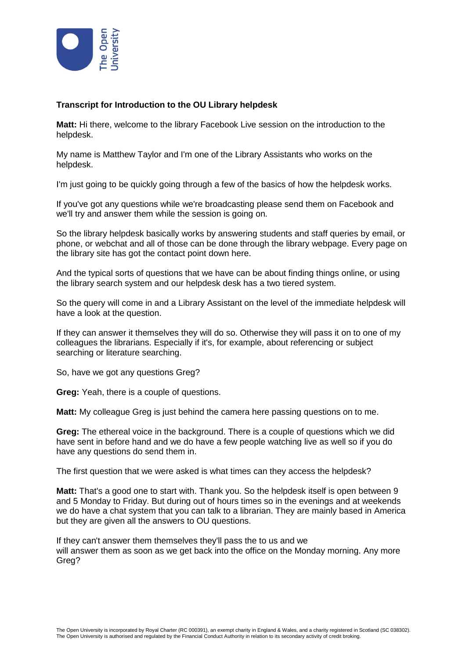

## **Transcript for Introduction to the OU Library helpdesk**

**Matt:** Hi there, welcome to the library Facebook Live session on the introduction to the helpdesk.

My name is Matthew Taylor and I'm one of the Library Assistants who works on the helpdesk.

I'm just going to be quickly going through a few of the basics of how the helpdesk works.

If you've got any questions while we're broadcasting please send them on Facebook and we'll try and answer them while the session is going on.

So the library helpdesk basically works by answering students and staff queries by email, or phone, or webchat and all of those can be done through the library webpage. Every page on the library site has got the contact point down here.

And the typical sorts of questions that we have can be about finding things online, or using the library search system and our helpdesk desk has a two tiered system.

So the query will come in and a Library Assistant on the level of the immediate helpdesk will have a look at the question.

If they can answer it themselves they will do so. Otherwise they will pass it on to one of my colleagues the librarians. Especially if it's, for example, about referencing or subject searching or literature searching.

So, have we got any questions Greg?

**Greg:** Yeah, there is a couple of questions.

**Matt:** My colleague Greg is just behind the camera here passing questions on to me.

**Greg:** The ethereal voice in the background. There is a couple of questions which we did have sent in before hand and we do have a few people watching live as well so if you do have any questions do send them in.

The first question that we were asked is what times can they access the helpdesk?

**Matt:** That's a good one to start with. Thank you. So the helpdesk itself is open between 9 and 5 Monday to Friday. But during out of hours times so in the evenings and at weekends we do have a chat system that you can talk to a librarian. They are mainly based in America but they are given all the answers to OU questions.

If they can't answer them themselves they'll pass the to us and we will answer them as soon as we get back into the office on the Monday morning. Any more Greg?